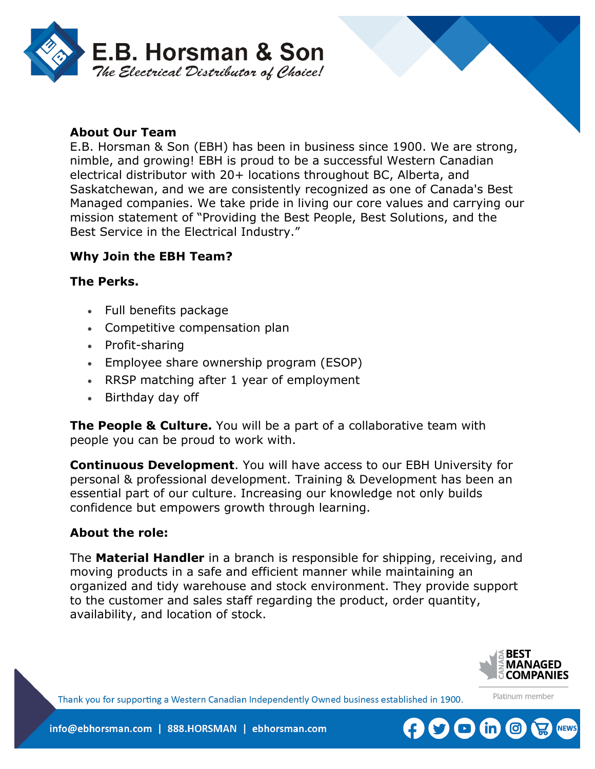

### **About Our Team**

E.B. Horsman & Son (EBH) has been in business since 1900. We are strong, nimble, and growing! EBH is proud to be a successful Western Canadian electrical distributor with 20+ locations throughout BC, Alberta, and Saskatchewan, and we are consistently recognized as one of Canada's Best Managed companies. We take pride in living our core values and carrying our mission statement of "Providing the Best People, Best Solutions, and the Best Service in the Electrical Industry."

### **Why Join the EBH Team?**

#### **The Perks.**

- Full benefits package
- Competitive compensation plan
- Profit-sharing
- Employee share ownership program (ESOP)
- RRSP matching after 1 year of employment
- Birthday day off

**The People & Culture.** You will be a part of a collaborative team with people you can be proud to work with.

**Continuous Development**. You will have access to our EBH University for personal & professional development. Training & Development has been an essential part of our culture. Increasing our knowledge not only builds confidence but empowers growth through learning.

#### **About the role:**

The **Material Handler** in a branch is responsible for shipping, receiving, and moving products in a safe and efficient manner while maintaining an organized and tidy warehouse and stock environment. They provide support to the customer and sales staff regarding the product, order quantity, availability, and location of stock.



Platinum member

Thank you for supporting a Western Canadian Independently Owned business established in 1900.

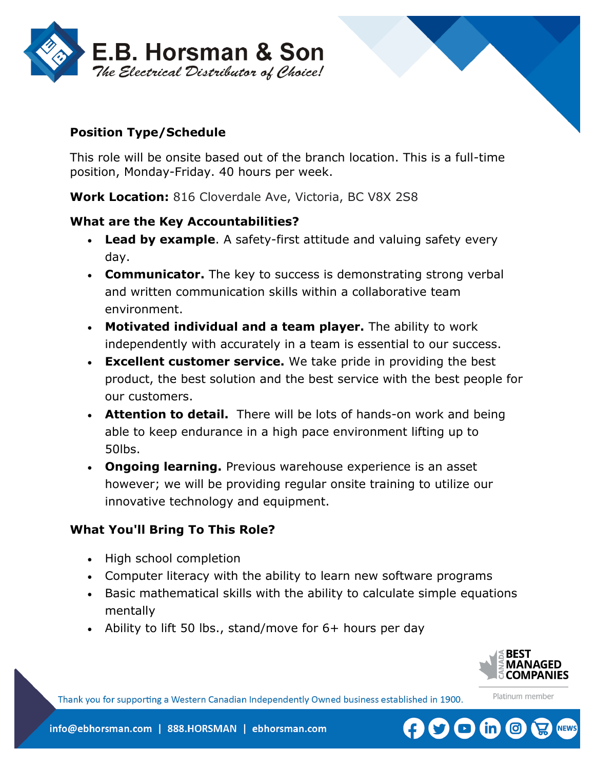

# **Position Type/Schedule**

This role will be onsite based out of the branch location. This is a full-time position, Monday-Friday. 40 hours per week.

**Work Location:** 816 Cloverdale Ave, Victoria, BC V8X 2S8

### **What are the Key Accountabilities?**

- **Lead by example**. A safety-first attitude and valuing safety every day.
- **Communicator.** The key to success is demonstrating strong verbal and written communication skills within a collaborative team environment.
- **Motivated individual and a team player.** The ability to work independently with accurately in a team is essential to our success.
- **Excellent customer service.** We take pride in providing the best product, the best solution and the best service with the best people for our customers.
- **Attention to detail.** There will be lots of hands-on work and being able to keep endurance in a high pace environment lifting up to 50lbs.
- **Ongoing learning.** Previous warehouse experience is an asset however; we will be providing regular onsite training to utilize our innovative technology and equipment.

### **What You'll Bring To This Role?**

- High school completion
- Computer literacy with the ability to learn new software programs
- Basic mathematical skills with the ability to calculate simple equations mentally
- Ability to lift 50 lbs., stand/move for 6+ hours per day



Platinum member

Thank you for supporting a Western Canadian Independently Owned business established in 1900.